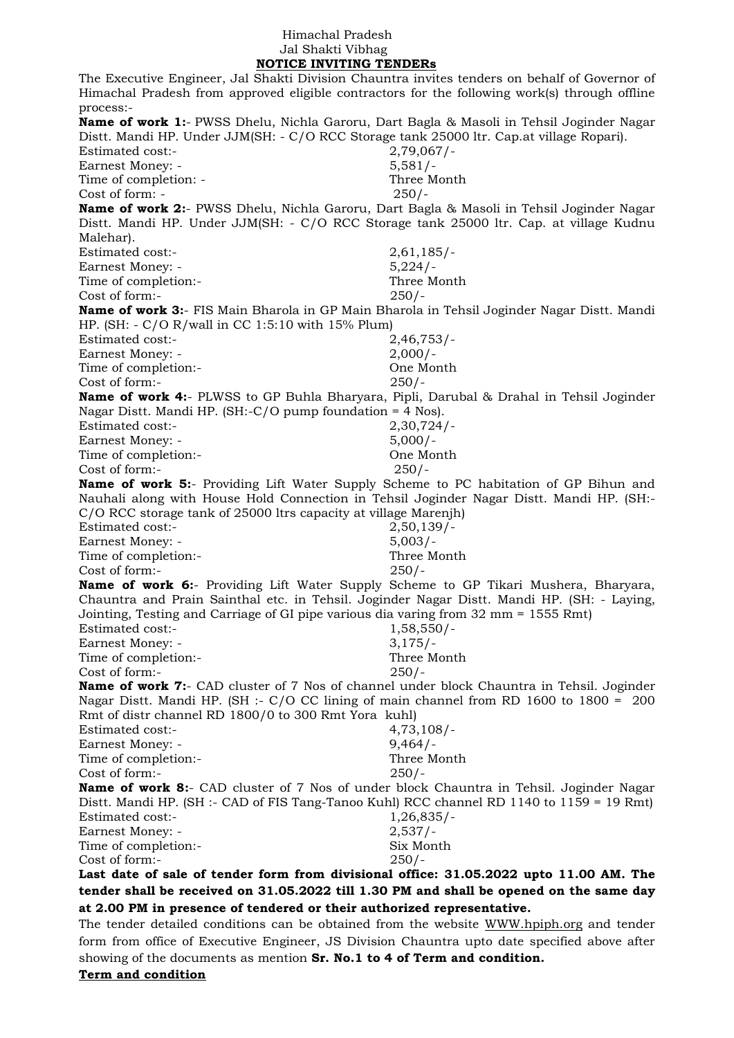## Himachal Pradesh Jal Shakti Vibhag  **NOTICE INVITING TENDERs**

The Executive Engineer, Jal Shakti Division Chauntra invites tenders on behalf of Governor of Himachal Pradesh from approved eligible contractors for the following work(s) through offline process:- **Name of work 1:**- PWSS Dhelu, Nichla Garoru, Dart Bagla & Masoli in Tehsil Joginder Nagar Distt. Mandi HP. Under JJM(SH: - C/O RCC Storage tank 25000 ltr. Cap.at village Ropari). Estimated cost:- 2,79,067/- Earnest Money: - 5,581/-Time of completion: - Three Month Cost of form: - 250/-**Name of work 2:**- PWSS Dhelu, Nichla Garoru, Dart Bagla & Masoli in Tehsil Joginder Nagar Distt. Mandi HP. Under JJM(SH: - C/O RCC Storage tank 25000 ltr. Cap. at village Kudnu Malehar). Estimated cost:- 2,61,185/- Earnest Money: - 5,224/- Time of completion:- Three Month Cost of form:- 250/- **Name of work 3:**- FIS Main Bharola in GP Main Bharola in Tehsil Joginder Nagar Distt. Mandi HP. (SH: - C/O R/wall in CC 1:5:10 with 15% Plum) Estimated cost:- 2,46,753/- Earnest Money: - 2,000/-Time of completion:- One Month Cost of form:- 250/- **Name of work 4:**- PLWSS to GP Buhla Bharyara, Pipli, Darubal & Drahal in Tehsil Joginder Nagar Distt. Mandi HP. (SH:-C/O pump foundation = 4 Nos). Estimated cost:- 2,30,724/- Earnest Money: - 5,000/-Time of completion:- One Month Cost of form:- 250/- **Name of work 5:**- Providing Lift Water Supply Scheme to PC habitation of GP Bihun and Nauhali along with House Hold Connection in Tehsil Joginder Nagar Distt. Mandi HP. (SH:- C/O RCC storage tank of 25000 ltrs capacity at village Marenjh) Estimated cost:- 2,50,139/- Earnest Money: - 5,003/-Time of completion:- Three Month Cost of form:- 250/- **Name of work 6:**- Providing Lift Water Supply Scheme to GP Tikari Mushera, Bharyara, Chauntra and Prain Sainthal etc. in Tehsil. Joginder Nagar Distt. Mandi HP. (SH: - Laying, Jointing, Testing and Carriage of GI pipe various dia varing from 32 mm = 1555 Rmt) Estimated cost:- 1,58,550/-Earnest Money: - 3,175/-Time of completion:-<br>Cost of form:-<br>250/-Cost of form:-**Name of work 7:**- CAD cluster of 7 Nos of channel under block Chauntra in Tehsil. Joginder Nagar Distt. Mandi HP. (SH :- C/O CC lining of main channel from RD 1600 to 1800 = 200 Rmt of distr channel RD 1800/0 to 300 Rmt Yora kuhl) Estimated cost:- 4,73,108/- Earnest Money: - 9,464/-Time of completion:- Three Month Cost of form:- 250/- **Name of work 8:**- CAD cluster of 7 Nos of under block Chauntra in Tehsil. Joginder Nagar Distt. Mandi HP. (SH :- CAD of FIS Tang-Tanoo Kuhl) RCC channel RD 1140 to 1159 = 19 Rmt) Estimated cost:- 1,26,835/-Earnest Money: - 2,537/-Time of completion:- Six Month Cost of form:- 250/- **Last date of sale of tender form from divisional office: 31.05.2022 upto 11.00 AM. The tender shall be received on 31.05.2022 till 1.30 PM and shall be opened on the same day at 2.00 PM in presence of tendered or their authorized representative.**

The tender detailed conditions can be obtained from the website [WWW.hpiph.org](http://www.hpiph.org/) and tender form from office of Executive Engineer, JS Division Chauntra upto date specified above after showing of the documents as mention **Sr. No.1 to 4 of Term and condition.** 

**Term and condition**